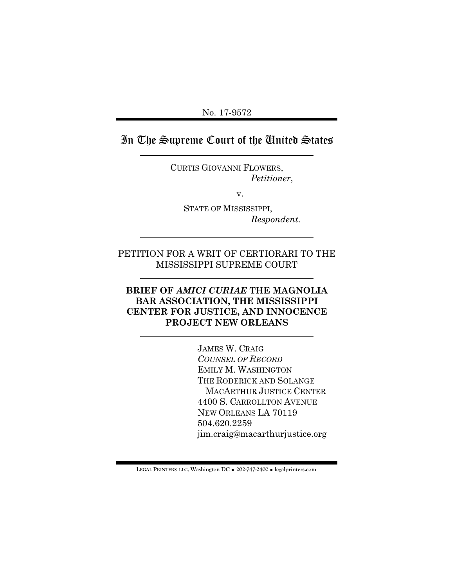No. 17-9572

# In The Supreme Court of the United States

CURTIS GIOVANNI FLOWERS, *Petitioner*,

v.

 STATE OF MISSISSIPPI, *Respondent.*

# PETITION FOR A WRIT OF CERTIORARI TO THE MISSISSIPPI SUPREME COURT

## **BRIEF OF** *AMICI CURIAE* **THE MAGNOLIA BAR ASSOCIATION, THE MISSISSIPPI CENTER FOR JUSTICE, AND INNOCENCE PROJECT NEW ORLEANS**

JAMES W. CRAIG *COUNSEL OF RECORD* EMILY M. WASHINGTON THE RODERICK AND SOLANGE MACARTHUR JUSTICE CENTER 4400 S. CARROLLTON AVENUE NEW ORLEANS LA 70119 504.620.2259 jim.craig@macarthurjustice.org

**LEGAL PRINTERS LLC, Washington DC** ! **202-747-2400** ! **legalprinters.com**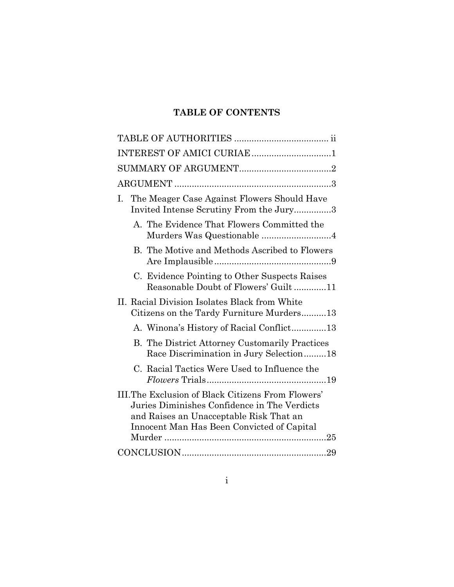# **TABLE OF CONTENTS**

| INTEREST OF AMICI CURIAE 1                                                                                                                                                                        |
|---------------------------------------------------------------------------------------------------------------------------------------------------------------------------------------------------|
|                                                                                                                                                                                                   |
|                                                                                                                                                                                                   |
| The Meager Case Against Flowers Should Have<br>L.<br>Invited Intense Scrutiny From the Jury3                                                                                                      |
| A. The Evidence That Flowers Committed the<br>Murders Was Questionable 4                                                                                                                          |
| B. The Motive and Methods Ascribed to Flowers                                                                                                                                                     |
| C. Evidence Pointing to Other Suspects Raises<br>Reasonable Doubt of Flowers' Guilt11                                                                                                             |
| II. Racial Division Isolates Black from White<br>Citizens on the Tardy Furniture Murders13                                                                                                        |
| A. Winona's History of Racial Conflict13                                                                                                                                                          |
| <b>B.</b> The District Attorney Customarily Practices<br>Race Discrimination in Jury Selection18                                                                                                  |
| C. Racial Tactics Were Used to Influence the                                                                                                                                                      |
| <b>III.The Exclusion of Black Citizens From Flowers'</b><br>Juries Diminishes Confidence in The Verdicts<br>and Raises an Unacceptable Risk That an<br>Innocent Man Has Been Convicted of Capital |
|                                                                                                                                                                                                   |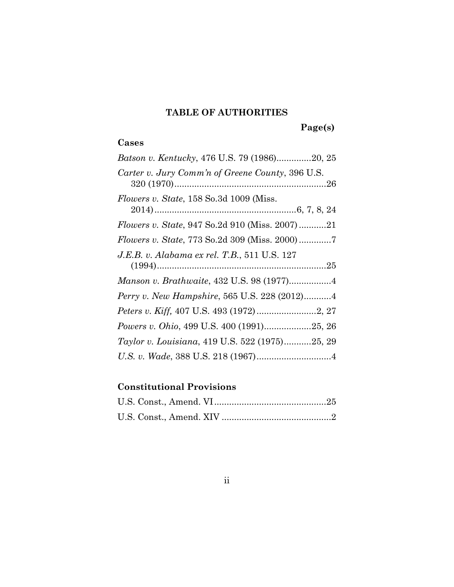# **TABLE OF AUTHORITIES**

 **Page(s)**

# **Cases**

| Batson v. Kentucky, 476 U.S. 79 (1986)20, 25           |
|--------------------------------------------------------|
| Carter v. Jury Comm'n of Greene County, 396 U.S.       |
| <i>Flowers v. State,</i> 158 So.3d 1009 (Miss.         |
| <i>Flowers v. State, 947 So.2d 910 (Miss. 2007) 21</i> |
| <i>Flowers v. State, 773 So.2d 309 (Miss. 2000)</i> 7  |
| J.E.B. v. Alabama ex rel. T.B., 511 U.S. 127           |
|                                                        |
| Perry v. New Hampshire, 565 U.S. 228 (2012)4           |
|                                                        |
| Powers v. Ohio, 499 U.S. 400 (1991)25, 26              |
| Taylor v. Louisiana, 419 U.S. 522 (1975)25, 29         |
|                                                        |

# **Constitutional Provisions**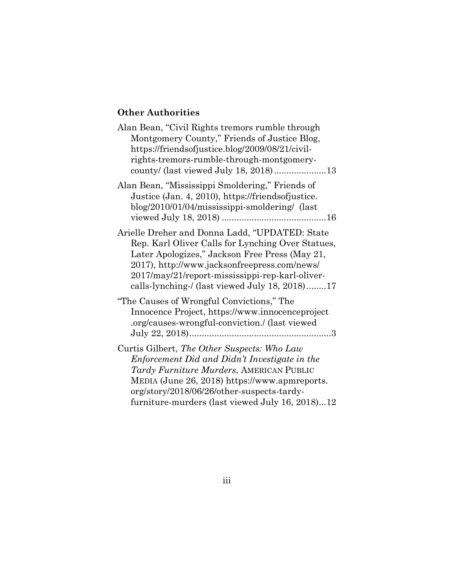# **Other Authorities**

| Alan Bean, "Civil Rights tremors rumble through<br>Montgomery County," Friends of Justice Blog,<br>https://friendsofjustice.blog/2009/08/21/civil-<br>rights-tremors-rumble-through-montgomery-<br>county/ (last viewed July 18, 2018)13                                                                   |
|------------------------------------------------------------------------------------------------------------------------------------------------------------------------------------------------------------------------------------------------------------------------------------------------------------|
| Alan Bean, "Mississippi Smoldering," Friends of<br>Justice (Jan. 4, 2010), https://friendsofjustice.<br>blog/2010/01/04/mississippi-smoldering/ (last                                                                                                                                                      |
| Arielle Dreher and Donna Ladd, "UPDATED: State<br>Rep. Karl Oliver Calls for Lynching Over Statues,<br>Later Apologizes," Jackson Free Press (May 21,<br>2017), http://www.jacksonfreepress.com/news/<br>2017/may/21/report-mississippi-rep-karl-oliver-<br>calls-lynching-/ (last viewed July 18, 2018)17 |
| "The Causes of Wrongful Convictions," The<br>Innocence Project, https://www.innocenceproject<br>.org/causes-wrongful-conviction./ (last viewed)                                                                                                                                                            |
| Curtis Gilbert, The Other Suspects: Who Law<br>Enforcement Did and Didn't Investigate in the<br>Tardy Furniture Murders, AMERICAN PUBLIC<br>MEDIA (June 26, 2018) https://www.apmreports.<br>org/story/2018/06/26/other-suspects-tardy-<br>furniture-murders (last viewed July 16, 2018)12                 |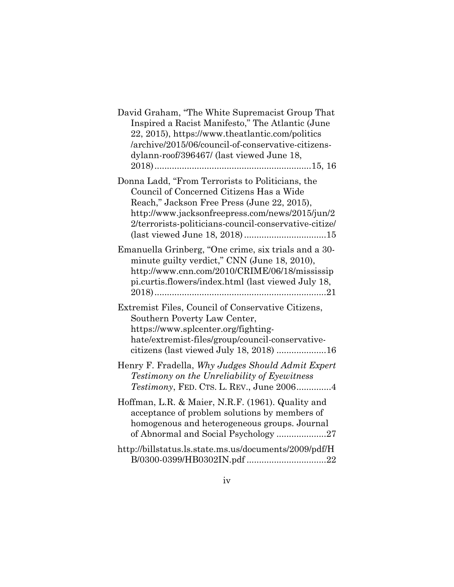| David Graham, "The White Supremacist Group That<br>Inspired a Racist Manifesto," The Atlantic (June<br>22, 2015), https://www.theatlantic.com/politics<br>/archive/2015/06/council-of-conservative-citizens-<br>dylann-roof/396467/ (last viewed June 18, |
|-----------------------------------------------------------------------------------------------------------------------------------------------------------------------------------------------------------------------------------------------------------|
| Donna Ladd, "From Terrorists to Politicians, the<br>Council of Concerned Citizens Has a Wide<br>Reach," Jackson Free Press (June 22, 2015),<br>http://www.jacksonfreepress.com/news/2015/jun/2<br>2/terrorists-politicians-council-conservative-citize/   |
| Emanuella Grinberg, "One crime, six trials and a 30-<br>minute guilty verdict," CNN (June 18, 2010),<br>http://www.cnn.com/2010/CRIME/06/18/mississip<br>pi.curtis.flowers/index.html (last viewed July 18,                                               |
| Extremist Files, Council of Conservative Citizens,<br>Southern Poverty Law Center,<br>https://www.splcenter.org/fighting-<br>hate/extremist-files/group/council-conservative-<br>citizens (last viewed July 18, 2018) 16                                  |
| Henry F. Fradella, Why Judges Should Admit Expert<br>Testimony on the Unreliability of Eyewitness<br><i>Testimony</i> , FED. CTS. L. REV., June 20064                                                                                                     |
| Hoffman, L.R. & Maier, N.R.F. (1961). Quality and<br>acceptance of problem solutions by members of<br>homogenous and heterogeneous groups. Journal<br>of Abnormal and Social Psychology 27                                                                |
| http://billstatus.ls.state.ms.us/documents/2009/pdf/H                                                                                                                                                                                                     |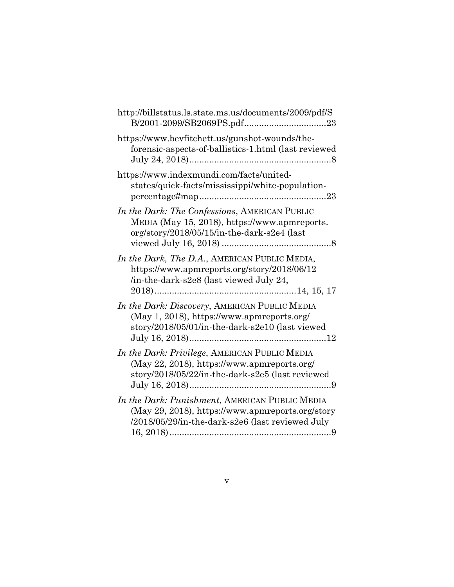| http://billstatus.ls.state.ms.us/documents/2009/pdf/S                                                                                                  |
|--------------------------------------------------------------------------------------------------------------------------------------------------------|
| https://www.bevfitchett.us/gunshot-wounds/the-<br>forensic-aspects-of-ballistics-1.html (last reviewed                                                 |
| https://www.indexmundi.com/facts/united-<br>states/quick-facts/mississippi/white-population-                                                           |
| In the Dark: The Confessions, AMERICAN PUBLIC<br>MEDIA (May 15, 2018), https://www.apmreports.<br>org/story/2018/05/15/in-the-dark-s2e4 (last          |
| In the Dark, The D.A., AMERICAN PUBLIC MEDIA,<br>https://www.apmreports.org/story/2018/06/12<br>/in-the-dark-s2e8 (last viewed July 24,                |
| In the Dark: Discovery, AMERICAN PUBLIC MEDIA<br>(May 1, 2018), https://www.apmreports.org/<br>story/2018/05/01/in-the-dark-s2e10 (last viewed         |
| In the Dark: Privilege, AMERICAN PUBLIC MEDIA<br>(May 22, 2018), https://www.apmreports.org/<br>story/2018/05/22/in-the-dark-s2e5 (last reviewed       |
| In the Dark: Punishment, AMERICAN PUBLIC MEDIA<br>(May 29, 2018), https://www.apmreports.org/story<br>/2018/05/29/in-the-dark-s2e6 (last reviewed July |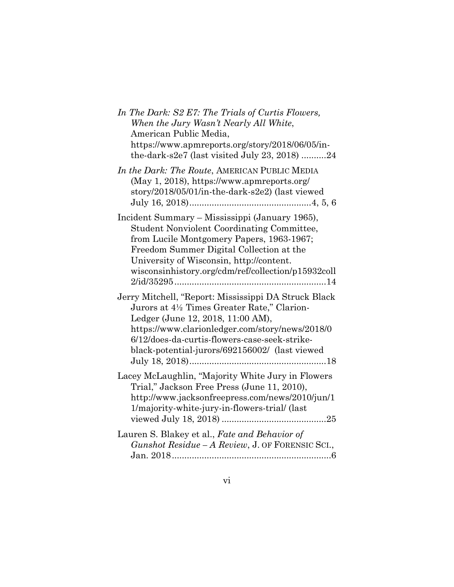| In The Dark: S2 E7: The Trials of Curtis Flowers,<br>When the Jury Wasn't Nearly All White,<br>American Public Media,<br>https://www.apmreports.org/story/2018/06/05/in-<br>the-dark-s2e7 (last visited July 23, 2018) 24                                                                      |
|------------------------------------------------------------------------------------------------------------------------------------------------------------------------------------------------------------------------------------------------------------------------------------------------|
| In the Dark: The Route, AMERICAN PUBLIC MEDIA<br>(May 1, 2018), https://www.apmreports.org/<br>story/2018/05/01/in-the-dark-s2e2) (last viewed                                                                                                                                                 |
| Incident Summary - Mississippi (January 1965),<br><b>Student Nonviolent Coordinating Committee,</b><br>from Lucile Montgomery Papers, 1963-1967;<br>Freedom Summer Digital Collection at the<br>University of Wisconsin, http://content.<br>wisconsinhistory.org/cdm/ref/collection/p15932coll |
| Jerry Mitchell, "Report: Mississippi DA Struck Black<br>Jurors at 4½ Times Greater Rate," Clarion-<br>Ledger (June 12, 2018, 11:00 AM),<br>https://www.clarionledger.com/story/news/2018/0<br>6/12/does-da-curtis-flowers-case-seek-strike-<br>black-potential-jurors/692156002/ (last viewed  |
| Lacey McLaughlin, "Majority White Jury in Flowers<br>Trial," Jackson Free Press (June 11, 2010),<br>http://www.jacksonfreepress.com/news/2010/jun/1<br>1/majority-white-jury-in-flowers-trial/ (last                                                                                           |
| Lauren S. Blakey et al., Fate and Behavior of<br>Gunshot Residue – A Review, J. OF FORENSIC SCI.,                                                                                                                                                                                              |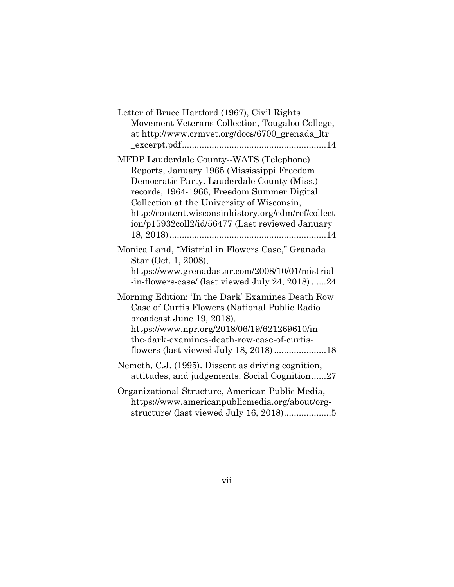| Letter of Bruce Hartford (1967), Civil Rights<br>Movement Veterans Collection, Tougaloo College,<br>at http://www.crmvet.org/docs/6700_grenada_ltr                                                                                                                                                                                          |
|---------------------------------------------------------------------------------------------------------------------------------------------------------------------------------------------------------------------------------------------------------------------------------------------------------------------------------------------|
| MFDP Lauderdale County--WATS (Telephone)<br>Reports, January 1965 (Mississippi Freedom<br>Democratic Party. Lauderdale County (Miss.)<br>records, 1964-1966, Freedom Summer Digital<br>Collection at the University of Wisconsin,<br>http://content.wisconsinhistory.org/cdm/ref/collect<br>ion/p15932coll2/id/56477 (Last reviewed January |
| Monica Land, "Mistrial in Flowers Case," Granada<br>Star (Oct. 1, 2008),<br>https://www.grenadastar.com/2008/10/01/mistrial<br>-in-flowers-case/ (last viewed July 24, 2018)24                                                                                                                                                              |
| Morning Edition: 'In the Dark' Examines Death Row<br>Case of Curtis Flowers (National Public Radio<br>broadcast June 19, 2018),<br>https://www.npr.org/2018/06/19/621269610/in-<br>the-dark-examines-death-row-case-of-curtis-                                                                                                              |
| Nemeth, C.J. (1995). Dissent as driving cognition,<br>attitudes, and judgements. Social Cognition27                                                                                                                                                                                                                                         |
| Organizational Structure, American Public Media,<br>https://www.americanpublicmedia.org/about/org-<br>structure/ (last viewed July 16, 2018)5                                                                                                                                                                                               |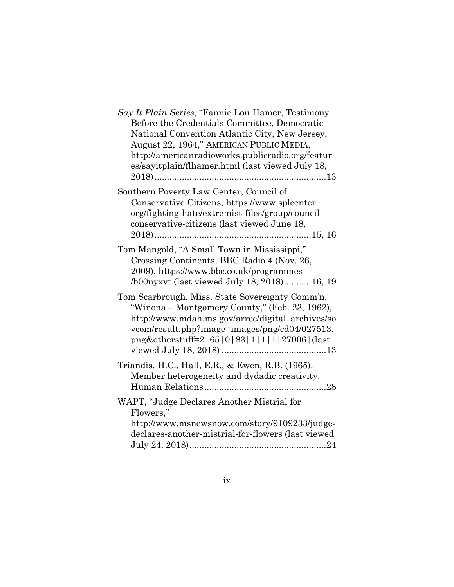| Say It Plain Series, "Fannie Lou Hamer, Testimony<br>Before the Credentials Committee, Democratic<br>National Convention Atlantic City, New Jersey,<br>August 22, 1964," AMERICAN PUBLIC MEDIA,<br>http://americanradioworks.publicradio.org/featur<br>es/sayitplain/flhamer.html (last viewed July 18, |
|---------------------------------------------------------------------------------------------------------------------------------------------------------------------------------------------------------------------------------------------------------------------------------------------------------|
| Southern Poverty Law Center, Council of<br>Conservative Citizens, https://www.splcenter.<br>org/fighting-hate/extremist-files/group/council-<br>conservative-citizens (last viewed June 18,                                                                                                             |
| Tom Mangold, "A Small Town in Mississippi,"<br>Crossing Continents, BBC Radio 4 (Nov. 26,<br>2009), https://www.bbc.co.uk/programmes<br>/b00nyxvt (last viewed July 18, 2018)16, 19                                                                                                                     |
| Tom Scarbrough, Miss. State Sovereignty Comm'n,<br>"Winona – Montgomery County," (Feb. 23, 1962),<br>http://www.mdah.ms.gov/arrec/digital_archives/so<br>vcom/result.php?image=images/png/cd04/027513.<br>png&otherstuff=2 65 0 83 1 1 1 27006 (last                                                    |
| Triandis, H.C., Hall, E.R., & Ewen, R.B. (1965).<br>Member heterogeneity and dydadic creativity.                                                                                                                                                                                                        |
| WAPT, "Judge Declares Another Mistrial for<br>Flowers,"<br>http://www.msnewsnow.com/story/9109233/judge-<br>declares-another-mistrial-for-flowers (last viewed                                                                                                                                          |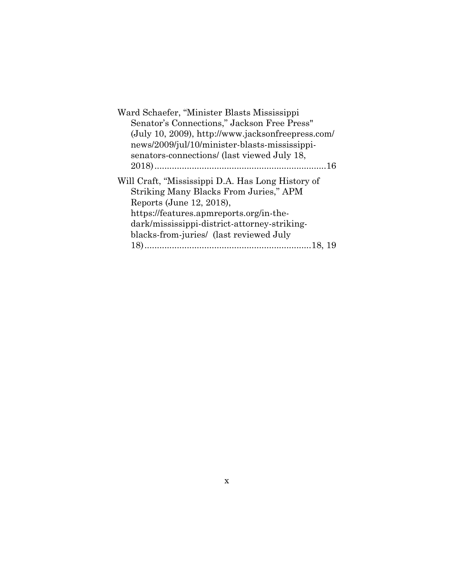| Ward Schaefer, "Minister Blasts Mississippi       |
|---------------------------------------------------|
| Senator's Connections," Jackson Free Press"       |
| (July 10, 2009), http://www.jacksonfreepress.com/ |
| news/2009/jul/10/minister-blasts-mississippi-     |
| senators-connections/ (last viewed July 18,       |
|                                                   |
| Will Craft, "Mississippi D.A. Has Long History of |
| Striking Many Blacks From Juries," APM            |
| Reports (June 12, 2018),                          |
| https://features.apmreports.org/in-the-           |
| dark/mississippi-district-attorney-striking-      |
| blacks-from-juries/ (last reviewed July           |
|                                                   |
|                                                   |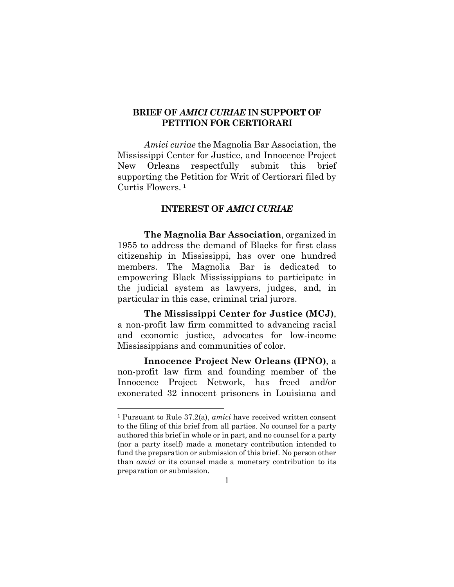## **BRIEF OF** *AMICI CURIAE* **IN SUPPORT OF PETITION FOR CERTIORARI**

*Amici curiae* the Magnolia Bar Association, the Mississippi Center for Justice, and Innocence Project New Orleans respectfully submit this brief supporting the Petition for Writ of Certiorari filed by Curtis Flowers. **[1](#page-11-0)**

### **INTEREST OF** *AMICI CURIAE*

**The Magnolia Bar Association**, organized in 1955 to address the demand of Blacks for first class citizenship in Mississippi, has over one hundred members. The Magnolia Bar is dedicated to empowering Black Mississippians to participate in the judicial system as lawyers, judges, and, in particular in this case, criminal trial jurors.

**The Mississippi Center for Justice (MCJ)**, a non-profit law firm committed to advancing racial and economic justice, advocates for low-income Mississippians and communities of color.

**Innocence Project New Orleans (IPNO)**, a non-profit law firm and founding member of the Innocence Project Network, has freed and/or exonerated 32 innocent prisoners in Louisiana and

<span id="page-11-0"></span> <sup>1</sup> Pursuant to Rule 37.2(a), *amici* have received written consent to the filing of this brief from all parties. No counsel for a party authored this brief in whole or in part, and no counsel for a party (nor a party itself) made a monetary contribution intended to fund the preparation or submission of this brief. No person other than *amici* or its counsel made a monetary contribution to its preparation or submission.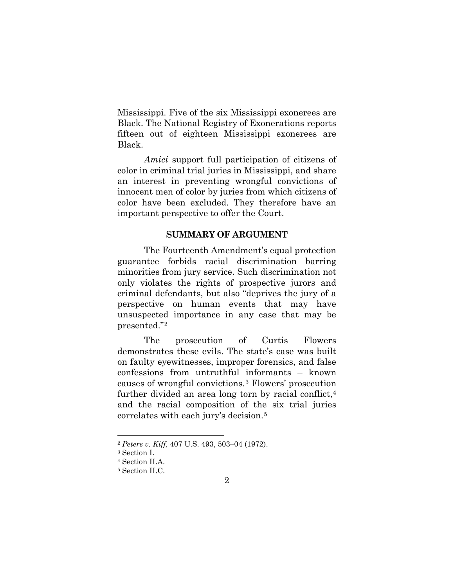Mississippi. Five of the six Mississippi exonerees are Black. The National Registry of Exonerations reports fifteen out of eighteen Mississippi exonerees are Black.

*Amici* support full participation of citizens of color in criminal trial juries in Mississippi, and share an interest in preventing wrongful convictions of innocent men of color by juries from which citizens of color have been excluded. They therefore have an important perspective to offer the Court.

### **SUMMARY OF ARGUMENT**

The Fourteenth Amendment's equal protection guarantee forbids racial discrimination barring minorities from jury service. Such discrimination not only violates the rights of prospective jurors and criminal defendants, but also "deprives the jury of a perspective on human events that may have unsuspected importance in any case that may be presented."[2](#page-12-0)

The prosecution of Curtis Flowers demonstrates these evils. The state's case was built on faulty eyewitnesses, improper forensics, and false confessions from untruthful informants – known causes of wrongful convictions.[3](#page-12-1) Flowers' prosecution further divided an area long torn by racial conflict,<sup>[4](#page-12-2)</sup> and the racial composition of the six trial juries correlates with each jury's decision.[5](#page-12-3)

<span id="page-12-0"></span> <sup>2</sup> *Peters v. Kiff,* 407 U.S. 493, 503–04 (1972).

<span id="page-12-1"></span><sup>&</sup>lt;sup>3</sup> Section I.<br><sup>4</sup> Section II.A.

<span id="page-12-3"></span><span id="page-12-2"></span><sup>&</sup>lt;sup>5</sup> Section II.C.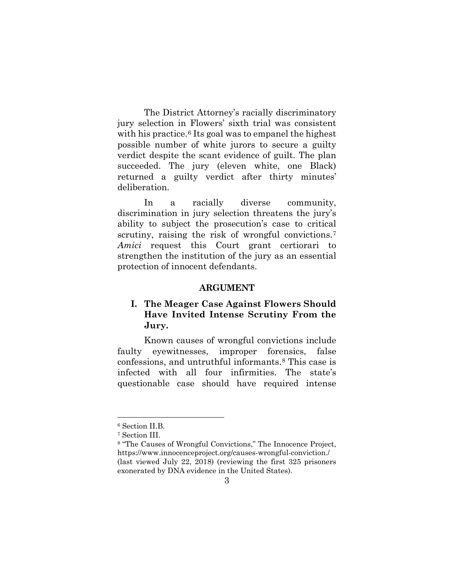The District Attorney's racially discriminatory jury selection in Flowers' sixth trial was consistent with his practice.<sup>[6](#page-13-0)</sup> Its goal was to empanel the highest possible number of white jurors to secure a guilty verdict despite the scant evidence of guilt. The plan succeeded. The jury (eleven white, one Black) returned a guilty verdict after thirty minutes' deliberation.

In a racially diverse community, discrimination in jury selection threatens the jury's ability to subject the prosecution's case to critical scrutiny, raising the risk of wrongful convictions.<sup>[7](#page-13-1)</sup> *Amici* request this Court grant certiorari to strengthen the institution of the jury as an essential protection of innocent defendants.

#### **ARGUMENT**

## **I. The Meager Case Against Flowers Should Have Invited Intense Scrutiny From the Jury.**

Known causes of wrongful convictions include faulty eyewitnesses, improper forensics, false confessions, and untruthful informants.[8](#page-13-2) This case is infected with all four infirmities. The state's questionable case should have required intense

<span id="page-13-0"></span> <sup>6</sup> Section II.B.

<sup>7</sup> Section III.

<span id="page-13-2"></span><span id="page-13-1"></span><sup>8</sup> "The Causes of Wrongful Convictions," The Innocence Project, https://www.innocenceproject.org/causes-wrongful-conviction./ (last viewed July 22, 2018) (reviewing the first 325 prisoners exonerated by DNA evidence in the United States).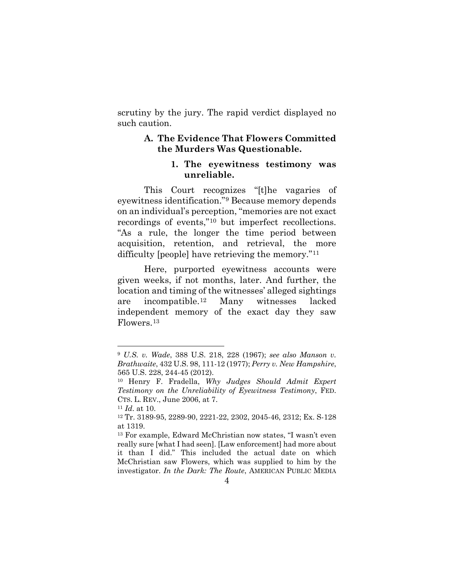scrutiny by the jury. The rapid verdict displayed no such caution.

## **A. The Evidence That Flowers Committed the Murders Was Questionable.**

#### **1. The eyewitness testimony was unreliable.**

This Court recognizes "[t]he vagaries of eyewitness identification."[9](#page-14-0) Because memory depends on an individual's perception, "memories are not exact recordings of events,"[10](#page-14-1) but imperfect recollections. "As a rule, the longer the time period between acquisition, retention, and retrieval, the more difficulty [people] have retrieving the memory."[11](#page-14-2)

Here, purported eyewitness accounts were given weeks, if not months, later. And further, the location and timing of the witnesses' alleged sightings are incompatible.[12](#page-14-3) Many witnesses lacked independent memory of the exact day they saw Flowers.[13](#page-14-4)

<span id="page-14-0"></span> <sup>9</sup> *U.S. v. Wade*, 388 U.S. 218, 228 (1967); *see also Manson v. Brathwaite*, 432 U.S. 98, 111-12 (1977); *Perry v. New Hampshire*, 565 U.S. 228, 244-45 (2012).

<span id="page-14-1"></span><sup>10</sup> Henry F. Fradella, *Why Judges Should Admit Expert Testimony on the Unreliability of Eyewitness Testimony*, FED. CTS. L. REV., June 2006, at 7.

<span id="page-14-2"></span><sup>11</sup> *Id*. at 10.

<span id="page-14-3"></span><sup>12</sup> Tr. 3189-95, 2289-90, 2221-22, 2302, 2045-46, 2312; Ex. S-128 at 1319.

<span id="page-14-4"></span><sup>13</sup> For example, Edward McChristian now states, "I wasn't even really sure [what I had seen]. [Law enforcement] had more about it than I did." This included the actual date on which McChristian saw Flowers, which was supplied to him by the investigator. *In the Dark: The Route*, AMERICAN PUBLIC MEDIA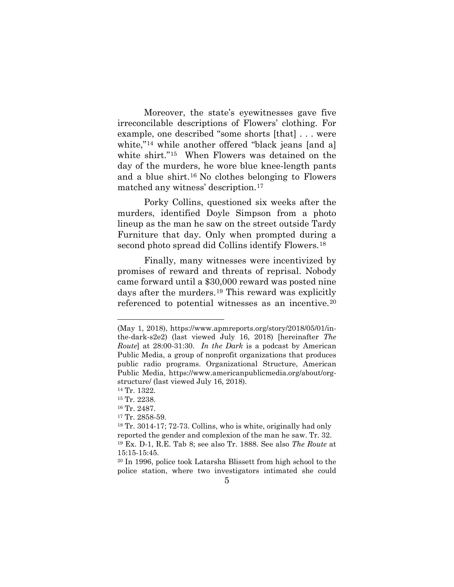Moreover, the state's eyewitnesses gave five irreconcilable descriptions of Flowers' clothing. For example, one described "some shorts [that] . . . were white,"[14](#page-15-0) while another offered "black jeans [and a] white shirt."[15](#page-15-1) When Flowers was detained on the day of the murders, he wore blue knee-length pants and a blue shirt.[16](#page-15-2) No clothes belonging to Flowers matched any witness' description.[17](#page-15-3)

Porky Collins, questioned six weeks after the murders, identified Doyle Simpson from a photo lineup as the man he saw on the street outside Tardy Furniture that day. Only when prompted during a second photo spread did Collins identify Flowers.<sup>[18](#page-15-4)</sup>

Finally, many witnesses were incentivized by promises of reward and threats of reprisal. Nobody came forward until a \$30,000 reward was posted nine days after the murders.[19](#page-15-5) This reward was explicitly referenced to potential witnesses as an incentive.[20](#page-15-6)

 $\overline{a}$ 

<sup>(</sup>May 1, 2018), https://www.apmreports.org/story/2018/05/01/inthe-dark-s2e2) (last viewed July 16, 2018) [hereinafter *The Route*] at 28:00-31:30. *In the Dark* is a podcast by American Public Media, a group of nonprofit organizations that produces public radio programs. Organizational Structure, American Public Media, https://www.americanpublicmedia.org/about/orgstructure/ (last viewed July 16, 2018). 14 Tr. 1322.

<span id="page-15-1"></span><span id="page-15-0"></span><sup>15</sup> Tr. 2238.

<span id="page-15-3"></span><span id="page-15-2"></span><sup>16</sup> Tr. 2487.

<sup>17</sup> Tr. 2858-59.

<span id="page-15-5"></span><span id="page-15-4"></span><sup>18</sup> Tr. 3014-17; 72-73. Collins, who is white, originally had only reported the gender and complexion of the man he saw. Tr. 32. <sup>19</sup> Ex. D-1, R.E. Tab 8; see also Tr. 1888. See also *The Route* at 15:15-15:45.

<span id="page-15-6"></span><sup>20</sup> In 1996, police took Latarsha Blissett from high school to the police station, where two investigators intimated she could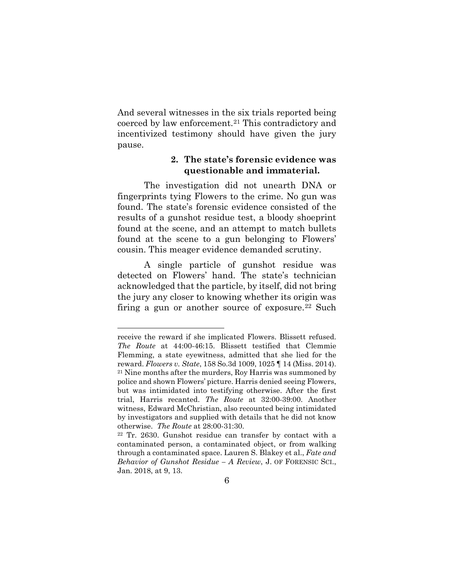And several witnesses in the six trials reported being coerced by law enforcement.[21](#page-16-0) This contradictory and incentivized testimony should have given the jury pause.

## **2. The state's forensic evidence was questionable and immaterial.**

The investigation did not unearth DNA or fingerprints tying Flowers to the crime. No gun was found. The state's forensic evidence consisted of the results of a gunshot residue test, a bloody shoeprint found at the scene, and an attempt to match bullets found at the scene to a gun belonging to Flowers' cousin. This meager evidence demanded scrutiny.

A single particle of gunshot residue was detected on Flowers' hand. The state's technician acknowledged that the particle, by itself, did not bring the jury any closer to knowing whether its origin was firing a gun or another source of exposure.<sup>[22](#page-16-1)</sup> Such

 $\overline{a}$ 

<span id="page-16-0"></span>receive the reward if she implicated Flowers. Blissett refused. *The Route* at 44:00-46:15. Blissett testified that Clemmie Flemming, a state eyewitness, admitted that she lied for the reward. *Flowers v. State*, 158 So.3d 1009, 1025 ¶ 14 (Miss. 2014). <sup>21</sup> Nine months after the murders, Roy Harris was summoned by police and shown Flowers' picture. Harris denied seeing Flowers, but was intimidated into testifying otherwise. After the first trial, Harris recanted. *The Route* at 32:00-39:00. Another witness, Edward McChristian, also recounted being intimidated by investigators and supplied with details that he did not know otherwise. *The Route* at 28:00-31:30.

<span id="page-16-1"></span><sup>22</sup> Tr. 2630. Gunshot residue can transfer by contact with a contaminated person, a contaminated object, or from walking through a contaminated space. Lauren S. Blakey et al., *Fate and Behavior of Gunshot Residue – A Review*, J. OF FORENSIC SCI., Jan. 2018, at 9, 13.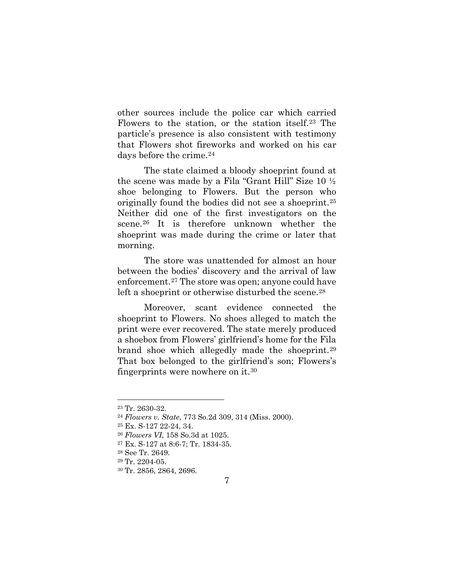other sources include the police car which carried Flowers to the station, or the station itself.[23](#page-17-0) The particle's presence is also consistent with testimony that Flowers shot fireworks and worked on his car days before the crime.<sup>[24](#page-17-1)</sup>

The state claimed a bloody shoeprint found at the scene was made by a Fila "Grant Hill" Size 10 ½ shoe belonging to Flowers. But the person who originally found the bodies did not see a shoeprint.[25](#page-17-2) Neither did one of the first investigators on the scene.<sup>[26](#page-17-3)</sup> It is therefore unknown whether the shoeprint was made during the crime or later that morning.

The store was unattended for almost an hour between the bodies' discovery and the arrival of law enforcement.[27](#page-17-4) The store was open; anyone could have left a shoeprint or otherwise disturbed the scene.<sup>[28](#page-17-5)</sup>

Moreover, scant evidence connected the shoeprint to Flowers. No shoes alleged to match the print were ever recovered. The state merely produced a shoebox from Flowers' girlfriend's home for the Fila brand shoe which allegedly made the shoeprint.[29](#page-17-6)  That box belonged to the girlfriend's son; Flowers's fingerprints were nowhere on it.[30](#page-17-7)

<span id="page-17-0"></span> <sup>23</sup> Tr. 2630-32.

<span id="page-17-1"></span><sup>24</sup> *Flowers v. State*, 773 So.2d 309, 314 (Miss. 2000).

<span id="page-17-2"></span><sup>25</sup> Ex. S-127 22-24, 34.

<span id="page-17-3"></span><sup>26</sup> *Flowers VI*, 158 So.3d at 1025.

<span id="page-17-4"></span><sup>27</sup> Ex. S-127 at 8:6-7; Tr. 1834-35.

<span id="page-17-5"></span><sup>28</sup> See Tr. 2649.

<span id="page-17-6"></span><sup>29</sup> Tr. 2204-05.

<span id="page-17-7"></span><sup>30</sup> Tr. 2856, 2864, 2696.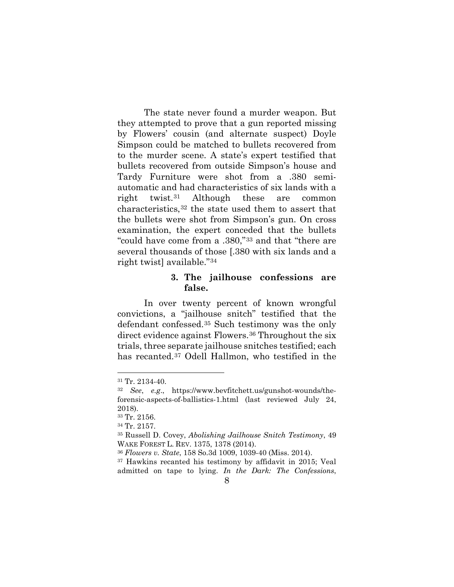The state never found a murder weapon. But they attempted to prove that a gun reported missing by Flowers' cousin (and alternate suspect) Doyle Simpson could be matched to bullets recovered from to the murder scene. A state's expert testified that bullets recovered from outside Simpson's house and Tardy Furniture were shot from a .380 semiautomatic and had characteristics of six lands with a right twist.[31](#page-18-0) Although these are common characteristics,[32](#page-18-1) the state used them to assert that the bullets were shot from Simpson's gun. On cross examination, the expert conceded that the bullets "could have come from a .380,"[33](#page-18-2) and that "there are several thousands of those [.380 with six lands and a right twist] available."[34](#page-18-3)

## **3. The jailhouse confessions are false.**

In over twenty percent of known wrongful convictions, a "jailhouse snitch" testified that the defendant confessed.[35](#page-18-4) Such testimony was the only direct evidence against Flowers.[36](#page-18-5) Throughout the six trials, three separate jailhouse snitches testified; each has recanted.[37](#page-18-6) Odell Hallmon, who testified in the

<span id="page-18-0"></span> <sup>31</sup> Tr. 2134-40.

<span id="page-18-1"></span><sup>32</sup> *See*, *e.g*., https://www.bevfitchett.us/gunshot-wounds/theforensic-aspects-of-ballistics-1.html (last reviewed July 24, 2018).

<span id="page-18-2"></span><sup>33</sup> Tr. 2156.

<span id="page-18-3"></span><sup>34</sup> Tr. 2157.

<span id="page-18-4"></span><sup>35</sup> Russell D. Covey, *Abolishing Jailhouse Snitch Testimony*, 49 WAKE FOREST L. REV. 1375, 1378 (2014).

<span id="page-18-5"></span><sup>36</sup> *Flowers v. State*, 158 So.3d 1009, 1039-40 (Miss. 2014).

<span id="page-18-6"></span><sup>37</sup> Hawkins recanted his testimony by affidavit in 2015; Veal admitted on tape to lying. *In the Dark: The Confessions*,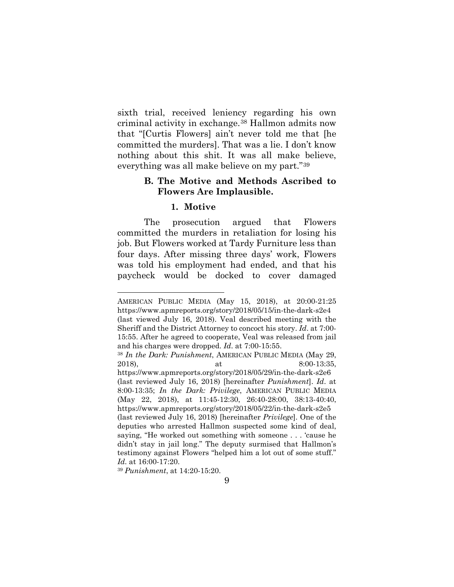sixth trial, received leniency regarding his own criminal activity in exchange.[38](#page-19-0) Hallmon admits now that "[Curtis Flowers] ain't never told me that [he committed the murders]. That was a lie. I don't know nothing about this shit. It was all make believe, everything was all make believe on my part."[39](#page-19-1) 

## **B. The Motive and Methods Ascribed to Flowers Are Implausible.**

#### **1. Motive**

The prosecution argued that Flowers committed the murders in retaliation for losing his job. But Flowers worked at Tardy Furniture less than four days. After missing three days' work, Flowers was told his employment had ended, and that his paycheck would be docked to cover damaged

<span id="page-19-1"></span><sup>39</sup> *Punishment*, at 14:20-15:20.

l

AMERICAN PUBLIC MEDIA (May 15, 2018), at 20:00-21:25 https://www.apmreports.org/story/2018/05/15/in-the-dark-s2e4 (last viewed July 16, 2018). Veal described meeting with the Sheriff and the District Attorney to concoct his story. *Id*. at 7:00- 15:55. After he agreed to cooperate, Veal was released from jail and his charges were dropped. *Id*. at 7:00-15:55.

<span id="page-19-0"></span><sup>38</sup> *In the Dark: Punishment*, AMERICAN PUBLIC MEDIA (May 29, 2018), at 8:00-13:35,

https://www.apmreports.org/story/2018/05/29/in-the-dark-s2e6 (last reviewed July 16, 2018) [hereinafter *Punishment*]. *Id*. at 8:00-13:35; *In the Dark: Privilege*, AMERICAN PUBLIC MEDIA (May 22, 2018), at 11:45-12:30, 26:40-28:00, 38:13-40:40, https://www.apmreports.org/story/2018/05/22/in-the-dark-s2e5 (last reviewed July 16, 2018) [hereinafter *Privilege*]. One of the deputies who arrested Hallmon suspected some kind of deal, saying, "He worked out something with someone . . . 'cause he didn't stay in jail long." The deputy surmised that Hallmon's testimony against Flowers "helped him a lot out of some stuff." *Id.* at 16:00-17:20.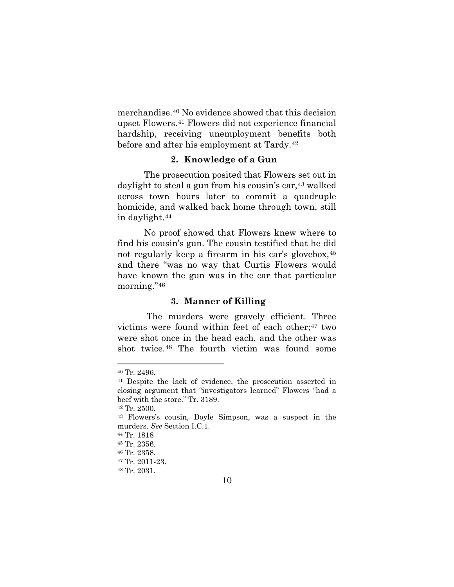merchandise.[40](#page-20-0) No evidence showed that this decision upset Flowers.[41](#page-20-1) Flowers did not experience financial hardship, receiving unemployment benefits both before and after his employment at Tardy.[42](#page-20-2)

#### **2. Knowledge of a Gun**

The prosecution posited that Flowers set out in daylight to steal a gun from his cousin's car,<sup>[43](#page-20-3)</sup> walked across town hours later to commit a quadruple homicide, and walked back home through town, still in daylight.[44](#page-20-4)

No proof showed that Flowers knew where to find his cousin's gun. The cousin testified that he did not regularly keep a firearm in his car's glovebox,[45](#page-20-5) and there "was no way that Curtis Flowers would have known the gun was in the car that particular morning."[46](#page-20-6)

#### **3. Manner of Killing**

The murders were gravely efficient. Three victims were found within feet of each other;[47](#page-20-7) two were shot once in the head each, and the other was shot twice.[48](#page-20-8) The fourth victim was found some

<span id="page-20-1"></span><span id="page-20-0"></span> <sup>40</sup> Tr. 2496.

<sup>41</sup> Despite the lack of evidence, the prosecution asserted in closing argument that "investigators learned" Flowers "had a beef with the store." Tr. 3189.

<span id="page-20-2"></span><sup>42</sup> Tr. 2500.

<span id="page-20-3"></span><sup>43</sup> Flowers's cousin, Doyle Simpson, was a suspect in the murders. *See* Section I.C.1.

<sup>44</sup> Tr. 1818

<span id="page-20-6"></span><span id="page-20-5"></span><span id="page-20-4"></span><sup>45</sup> Tr. 2356.

<sup>46</sup> Tr. 2358.

<span id="page-20-7"></span><sup>47</sup> Tr. 2011-23.

<span id="page-20-8"></span><sup>48</sup> Tr. 2031.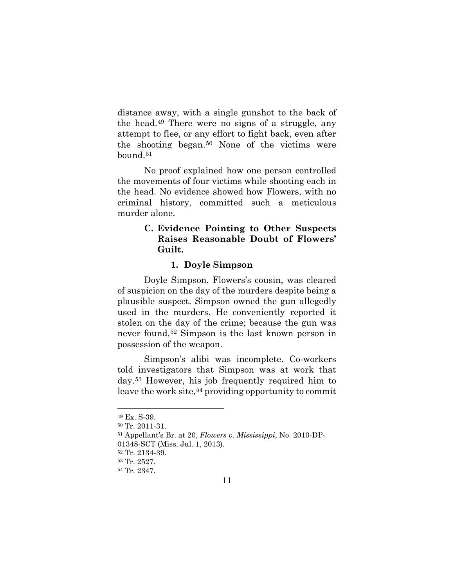distance away, with a single gunshot to the back of the head.[49](#page-21-0) There were no signs of a struggle, any attempt to flee, or any effort to fight back, even after the shooting began.[50](#page-21-1) None of the victims were bound.<sup>[51](#page-21-2)</sup>

No proof explained how one person controlled the movements of four victims while shooting each in the head. No evidence showed how Flowers, with no criminal history, committed such a meticulous murder alone.

## **C. Evidence Pointing to Other Suspects Raises Reasonable Doubt of Flowers' Guilt.**

#### **1. Doyle Simpson**

Doyle Simpson, Flowers's cousin, was cleared of suspicion on the day of the murders despite being a plausible suspect. Simpson owned the gun allegedly used in the murders. He conveniently reported it stolen on the day of the crime; because the gun was never found,[52](#page-21-3) Simpson is the last known person in possession of the weapon.

Simpson's alibi was incomplete. Co-workers told investigators that Simpson was at work that day.[53](#page-21-4) However, his job frequently required him to leave the work site,<sup>[54](#page-21-5)</sup> providing opportunity to commit

<span id="page-21-0"></span> <sup>49</sup> Ex. S-39.

<span id="page-21-1"></span><sup>50</sup> Tr. 2011-31.

<span id="page-21-2"></span><sup>51</sup> Appellant's Br. at 20, *Flowers v. Mississippi*, No. 2010-DP-

<sup>01348-</sup>SCT (Miss. Jul. 1, 2013).

<span id="page-21-3"></span><sup>52</sup> Tr. 2134-39.

<span id="page-21-4"></span><sup>53</sup> Tr. 2527.

<span id="page-21-5"></span><sup>54</sup> Tr. 2347.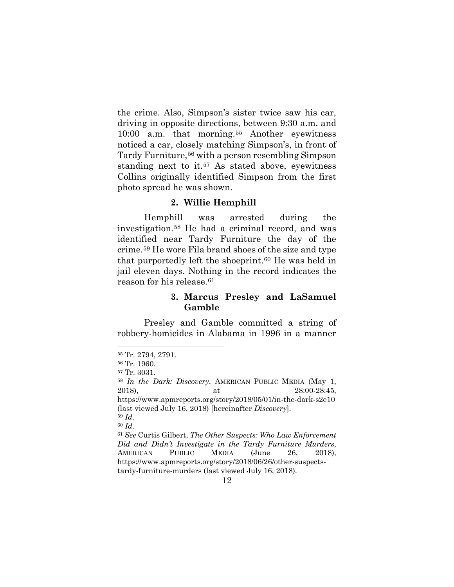the crime. Also, Simpson's sister twice saw his car, driving in opposite directions, between 9:30 a.m. and 10:00 a.m. that morning.[55](#page-22-0) Another eyewitness noticed a car, closely matching Simpson's, in front of Tardy Furniture,<sup>[56](#page-22-1)</sup> with a person resembling Simpson standing next to it.<sup>[57](#page-22-2)</sup> As stated above, eyewitness Collins originally identified Simpson from the first photo spread he was shown.

#### **2. Willie Hemphill**

Hemphill was arrested during the investigation.[58](#page-22-3) He had a criminal record, and was identified near Tardy Furniture the day of the crime.[59](#page-22-4) He wore Fila brand shoes of the size and type that purportedly left the shoeprint.<sup>[60](#page-22-5)</sup> He was held in jail eleven days. Nothing in the record indicates the reason for his release.<sup>[61](#page-22-6)</sup>

## **3. Marcus Presley and LaSamuel Gamble**

Presley and Gamble committed a string of robbery-homicides in Alabama in 1996 in a manner

<span id="page-22-0"></span> <sup>55</sup> Tr. 2794, 2791.

<sup>56</sup> Tr. 1960.

<span id="page-22-3"></span><span id="page-22-2"></span><span id="page-22-1"></span><sup>57</sup> Tr. 3031.

<sup>58</sup> *In the Dark: Discovery*, AMERICAN PUBLIC MEDIA (May 1, 2018), at 28:00-28:45, https://www.apmreports.org/story/2018/05/01/in-the-dark-s2e10 (last viewed July 16, 2018) [hereinafter *Discovery*].

<span id="page-22-4"></span><sup>59</sup> *Id*. <sup>60</sup> *Id*.

<span id="page-22-6"></span><span id="page-22-5"></span><sup>61</sup> *See* Curtis Gilbert, *The Other Suspects: Who Law Enforcement Did and Didn't Investigate in the Tardy Furniture Murders*, AMERICAN PUBLIC MEDIA (June 26, 2018), https://www.apmreports.org/story/2018/06/26/other-suspectstardy-furniture-murders (last viewed July 16, 2018).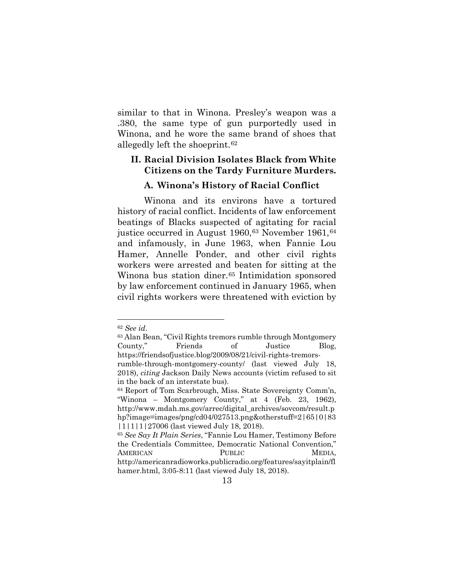similar to that in Winona. Presley's weapon was a .380, the same type of gun purportedly used in Winona, and he wore the same brand of shoes that allegedly left the shoeprint.[62](#page-23-0)

### **II. Racial Division Isolates Black from White Citizens on the Tardy Furniture Murders.**

#### **A. Winona's History of Racial Conflict**

Winona and its environs have a tortured history of racial conflict. Incidents of law enforcement beatings of Blacks suspected of agitating for racial justice occurred in August 1960, <sup>[63](#page-23-1)</sup> November 1961, <sup>[64](#page-23-2)</sup> and infamously, in June 1963, when Fannie Lou Hamer, Annelle Ponder, and other civil rights workers were arrested and beaten for sitting at the Winona bus station diner.<sup>[65](#page-23-3)</sup> Intimidation sponsored by law enforcement continued in January 1965, when civil rights workers were threatened with eviction by

 <sup>62</sup> *See id*.

<span id="page-23-1"></span><span id="page-23-0"></span><sup>63</sup> Alan Bean, "Civil Rights tremors rumble through Montgomery County," Friends of Justice Blog, https://friendsofjustice.blog/2009/08/21/civil-rights-tremors-

rumble-through-montgomery-county/ (last viewed July 18, 2018), *citing* Jackson Daily News accounts (victim refused to sit in the back of an interstate bus).

<span id="page-23-2"></span><sup>64</sup> Report of Tom Scarbrough, Miss. State Sovereignty Comm'n, "Winona – Montgomery County," at 4 (Feb. 23, 1962), http://www.mdah.ms.gov/arrec/digital\_archives/sovcom/result.p hp?image=images/png/cd04/027513.png&otherstuff=2|65|0|83 |1|1|1|27006 (last viewed July 18, 2018).

<span id="page-23-3"></span><sup>65</sup> *See Say It Plain Series*, "Fannie Lou Hamer, Testimony Before the Credentials Committee, Democratic National Convention," AMERICAN PUBLIC MEDIA, http://americanradioworks.publicradio.org/features/sayitplain/fl hamer.html, 3:05-8:11 (last viewed July 18, 2018).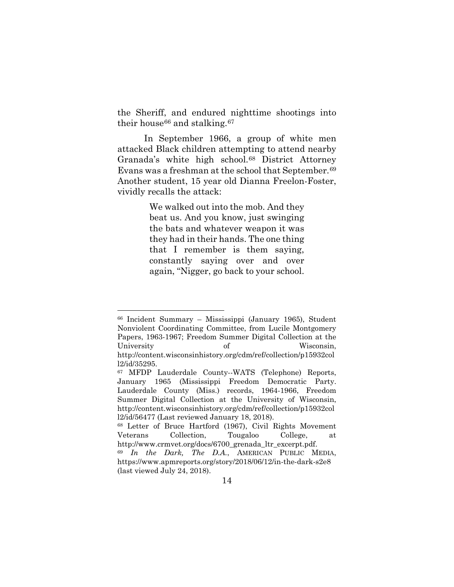the Sheriff, and endured nighttime shootings into their house<sup>[66](#page-24-0)</sup> and stalking.<sup>[67](#page-24-1)</sup>

In September 1966, a group of white men attacked Black children attempting to attend nearby Granada's white high school.<sup>[68](#page-24-2)</sup> District Attorney Evans was a freshman at the school that September.[69](#page-24-3) Another student, 15 year old Dianna Freelon-Foster, vividly recalls the attack:

> We walked out into the mob. And they beat us. And you know, just swinging the bats and whatever weapon it was they had in their hands. The one thing that I remember is them saying, constantly saying over and over again, "Nigger, go back to your school.

<span id="page-24-0"></span> <sup>66</sup> Incident Summary – Mississippi (January 1965), Student Nonviolent Coordinating Committee, from Lucile Montgomery Papers, 1963-1967; Freedom Summer Digital Collection at the University of Wisconsin, http://content.wisconsinhistory.org/cdm/ref/collection/p15932col

<span id="page-24-1"></span>l2/id/35295.<br><sup>67</sup> MFDP Lauderdale County--WATS (Telephone) Reports, January 1965 (Mississippi Freedom Democratic Party. Lauderdale County (Miss.) records, 1964-1966, Freedom Summer Digital Collection at the University of Wisconsin, http://content.wisconsinhistory.org/cdm/ref/collection/p15932col l2/id/56477 (Last reviewed January 18, 2018).

<span id="page-24-2"></span><sup>68</sup> Letter of Bruce Hartford (1967), Civil Rights Movement Veterans Collection, Tougaloo College, at http://www.crmvet.org/docs/6700\_grenada\_ltr\_excerpt.pdf. 69 *In the Dark, The D.A.*, AMERICAN PUBLIC MEDIA,

<span id="page-24-3"></span>https://www.apmreports.org/story/2018/06/12/in-the-dark-s2e8 (last viewed July 24, 2018).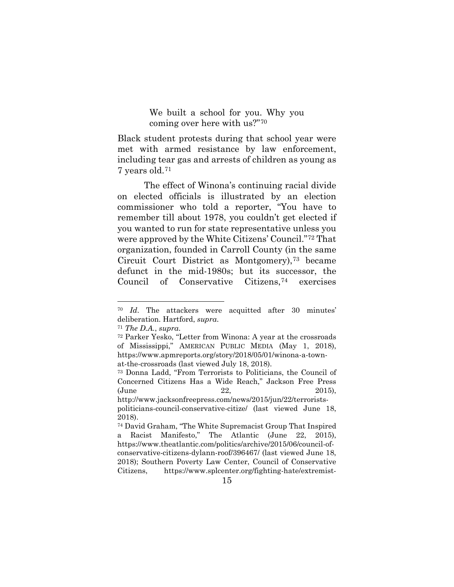We built a school for you. Why you coming over here with us?"[70](#page-25-0)

Black student protests during that school year were met with armed resistance by law enforcement, including tear gas and arrests of children as young as 7 years old.[71](#page-25-1)

The effect of Winona's continuing racial divide on elected officials is illustrated by an election commissioner who told a reporter, "You have to remember till about 1978, you couldn't get elected if you wanted to run for state representative unless you were approved by the White Citizens' Council."[72](#page-25-2) That organization, founded in Carroll County (in the same Circuit Court District as Montgomery),[73](#page-25-3) became defunct in the mid-1980s; but its successor, the Council of Conservative Citizens,[74](#page-25-4) exercises

<span id="page-25-0"></span> <sup>70</sup> *Id*. The attackers were acquitted after 30 minutes' deliberation. Hartford, *supra*.

<span id="page-25-2"></span><span id="page-25-1"></span><sup>71</sup> *The D.A.*, *supra*.

<sup>72</sup> Parker Yesko, "Letter from Winona: A year at the crossroads of Mississippi," AMERICAN PUBLIC MEDIA (May 1, 2018), https://www.apmreports.org/story/2018/05/01/winona-a-townat-the-crossroads (last viewed July 18, 2018).

<span id="page-25-3"></span><sup>73</sup> Donna Ladd, "From Terrorists to Politicians, the Council of Concerned Citizens Has a Wide Reach," Jackson Free Press (June 22, 2015), http://www.jacksonfreepress.com/news/2015/jun/22/terrorists-

politicians-council-conservative-citize/ (last viewed June 18, 2018).

<span id="page-25-4"></span><sup>74</sup> David Graham, "The White Supremacist Group That Inspired a Racist Manifesto," The Atlantic (June 22, 2015), https://www.theatlantic.com/politics/archive/2015/06/council-ofconservative-citizens-dylann-roof/396467/ (last viewed June 18, 2018); Southern Poverty Law Center, Council of Conservative Citizens, https://www.splcenter.org/fighting-hate/extremist-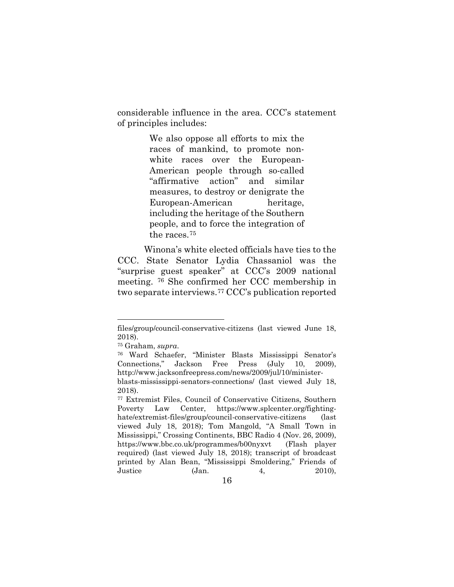considerable influence in the area. CCC's statement of principles includes:

> We also oppose all efforts to mix the races of mankind, to promote nonwhite races over the European-American people through so-called "affirmative action" and similar measures, to destroy or denigrate the European-American heritage, including the heritage of the Southern people, and to force the integration of the races.[75](#page-26-0)

Winona's white elected officials have ties to the CCC. State Senator Lydia Chassaniol was the "surprise guest speaker" at CCC's 2009 national meeting. [76](#page-26-1) She confirmed her CCC membership in two separate interviews.[77](#page-26-2) CCC's publication reported

 $\overline{a}$ 

files/group/council-conservative-citizens (last viewed June 18, 2018).

<sup>75</sup> Graham, *supra*.

<span id="page-26-1"></span><span id="page-26-0"></span><sup>76</sup> Ward Schaefer, "Minister Blasts Mississippi Senator's Connections," Jackson Free Press (July 10, 2009), http://www.jacksonfreepress.com/news/2009/jul/10/minister-

blasts-mississippi-senators-connections/ (last viewed July 18, 2018).

<span id="page-26-2"></span><sup>77</sup> Extremist Files, Council of Conservative Citizens, Southern Poverty Law Center, https://www.splcenter.org/fightinghate/extremist-files/group/council-conservative-citizens (last viewed July 18, 2018); Tom Mangold, "A Small Town in Mississippi," Crossing Continents, BBC Radio 4 (Nov. 26, 2009), https://www.bbc.co.uk/programmes/b00nyxvt (Flash player required) (last viewed July 18, 2018); transcript of broadcast printed by Alan Bean, "Mississippi Smoldering," Friends of Justice (Jan. 4, 2010),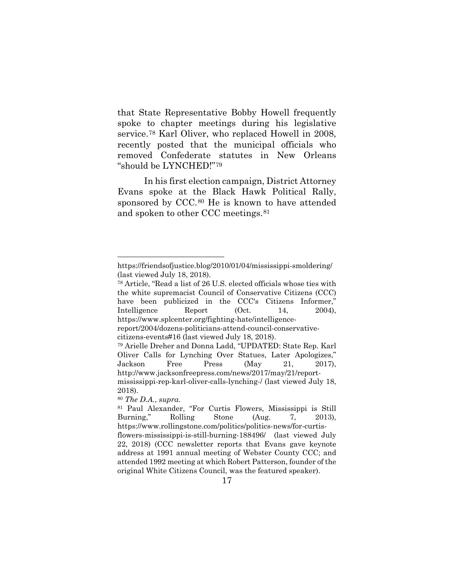that State Representative Bobby Howell frequently spoke to chapter meetings during his legislative service.[78](#page-27-0) Karl Oliver, who replaced Howell in 2008, recently posted that the municipal officials who removed Confederate statutes in New Orleans "should be LYNCHED!"[79](#page-27-1)

In his first election campaign, District Attorney Evans spoke at the Black Hawk Political Rally, sponsored by CCC.<sup>[80](#page-27-2)</sup> He is known to have attended and spoken to other CCC meetings.[81](#page-27-3)

l

https://friendsofjustice.blog/2010/01/04/mississippi-smoldering/ (last viewed July 18, 2018).

<span id="page-27-0"></span><sup>78</sup> Article, "Read a list of 26 U.S. elected officials whose ties with the white supremacist Council of Conservative Citizens (CCC) have been publicized in the CCC's Citizens Informer," Intelligence Report (Oct. 14, 2004), https://www.splcenter.org/fighting-hate/intelligencereport/2004/dozens-politicians-attend-council-conservativecitizens-events#16 (last viewed July 18, 2018). <sup>79</sup> Arielle Dreher and Donna Ladd, "UPDATED: State Rep. Karl Oliver Calls for Lynching Over Statues, Later Apologizes,"

<span id="page-27-1"></span>Jackson Free Press (May 21, 2017), http://www.jacksonfreepress.com/news/2017/may/21/reportmississippi-rep-karl-oliver-calls-lynching-/ (last viewed July 18, 2018).

<span id="page-27-2"></span><sup>80</sup> *The D.A.*, *supra*.

<span id="page-27-3"></span><sup>81</sup> Paul Alexander, "For Curtis Flowers, Mississippi is Still Burning," Rolling Stone (Aug. 7, 2013), https://www.rollingstone.com/politics/politics-news/for-curtisflowers-mississippi-is-still-burning-188496/ (last viewed July 22, 2018) (CCC newsletter reports that Evans gave keynote address at 1991 annual meeting of Webster County CCC; and attended 1992 meeting at which Robert Patterson, founder of the original White Citizens Council, was the featured speaker).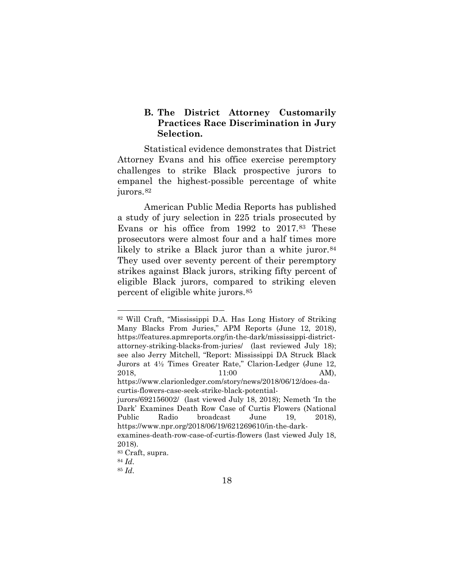## **B. The District Attorney Customarily Practices Race Discrimination in Jury Selection.**

Statistical evidence demonstrates that District Attorney Evans and his office exercise peremptory challenges to strike Black prospective jurors to empanel the highest-possible percentage of white jurors.<sup>[82](#page-28-0)</sup>

American Public Media Reports has published a study of jury selection in 225 trials prosecuted by Evans or his office from 1992 to 2017.[83](#page-28-1) These prosecutors were almost four and a half times more likely to strike a Black juror than a white juror.<sup>[84](#page-28-2)</sup> They used over seventy percent of their peremptory strikes against Black jurors, striking fifty percent of eligible Black jurors, compared to striking eleven percent of eligible white jurors.[85](#page-28-3)

<span id="page-28-0"></span> <sup>82</sup> Will Craft, "Mississippi D.A. Has Long History of Striking Many Blacks From Juries," APM Reports (June 12, 2018), https://features.apmreports.org/in-the-dark/mississippi-districtattorney-striking-blacks-from-juries/ (last reviewed July 18); see also Jerry Mitchell, "Report: Mississippi DA Struck Black Jurors at 4½ Times Greater Rate," Clarion-Ledger (June 12, 2018, 11:00 AM), https://www.clarionledger.com/story/news/2018/06/12/does-da-

curtis-flowers-case-seek-strike-black-potential-

jurors/692156002/ (last viewed July 18, 2018); Nemeth 'In the Dark' Examines Death Row Case of Curtis Flowers (National Public Radio broadcast June 19, 2018), https://www.npr.org/2018/06/19/621269610/in-the-darkexamines-death-row-case-of-curtis-flowers (last viewed July 18, 2018).

<span id="page-28-1"></span><sup>83</sup> Craft, supra.

<sup>84</sup> *Id*.

<span id="page-28-3"></span><span id="page-28-2"></span><sup>85</sup> *Id*.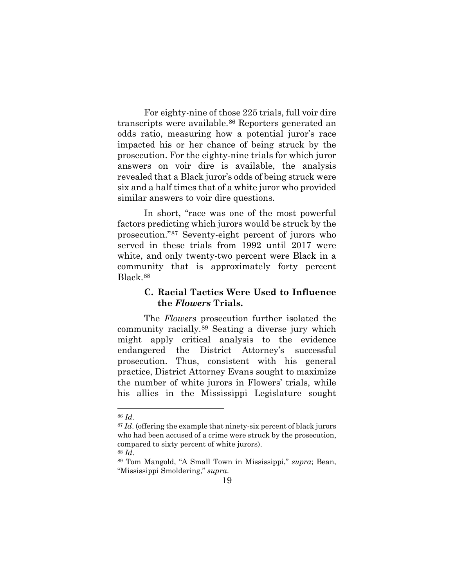For eighty-nine of those 225 trials, full voir dire transcripts were available.[86](#page-29-0) Reporters generated an odds ratio, measuring how a potential juror's race impacted his or her chance of being struck by the prosecution. For the eighty-nine trials for which juror answers on voir dire is available, the analysis revealed that a Black juror's odds of being struck were six and a half times that of a white juror who provided similar answers to voir dire questions.

In short, "race was one of the most powerful factors predicting which jurors would be struck by the prosecution."[87](#page-29-1) Seventy-eight percent of jurors who served in these trials from 1992 until 2017 were white, and only twenty-two percent were Black in a community that is approximately forty percent Black.[88](#page-29-2)

## **C. Racial Tactics Were Used to Influence the** *Flowers* **Trials.**

The *Flowers* prosecution further isolated the community racially.[89](#page-29-3) Seating a diverse jury which might apply critical analysis to the evidence endangered the District Attorney's successful prosecution. Thus, consistent with his general practice, District Attorney Evans sought to maximize the number of white jurors in Flowers' trials, while his allies in the Mississippi Legislature sought

<span id="page-29-0"></span> <sup>86</sup> *Id*.

<span id="page-29-1"></span><sup>&</sup>lt;sup>87</sup> *Id.* (offering the example that ninety-six percent of black jurors who had been accused of a crime were struck by the prosecution, compared to sixty percent of white jurors). <sup>88</sup> *Id*.

<span id="page-29-3"></span><span id="page-29-2"></span><sup>89</sup> Tom Mangold, "A Small Town in Mississippi," *supra*; Bean, "Mississippi Smoldering," *supra*.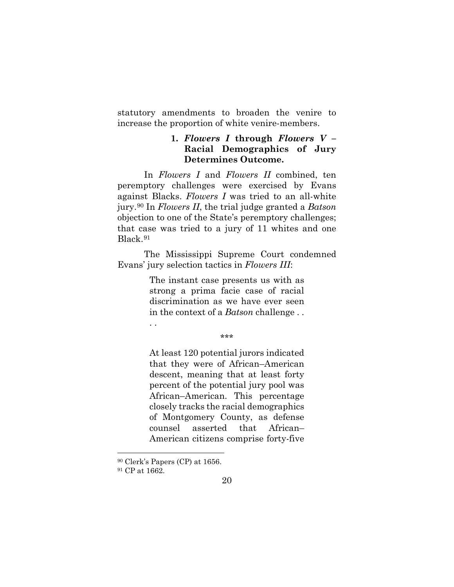statutory amendments to broaden the venire to increase the proportion of white venire-members.

## **1.** *Flowers I* **through** *Flowers V* **– Racial Demographics of Jury Determines Outcome.**

In *Flowers I* and *Flowers II* combined, ten peremptory challenges were exercised by Evans against Blacks. *Flowers I* was tried to an all-white jury.[90](#page-30-0) In *Flowers II*, the trial judge granted a *Batson* objection to one of the State's peremptory challenges; that case was tried to a jury of 11 whites and one Black.[91](#page-30-1)

The Mississippi Supreme Court condemned Evans' jury selection tactics in *Flowers III*:

> The instant case presents us with as strong a prima facie case of racial discrimination as we have ever seen in the context of a *Batson* challenge . .

> > \*\*\*

At least 120 potential jurors indicated that they were of African–American descent, meaning that at least forty percent of the potential jury pool was African–American. This percentage closely tracks the racial demographics of Montgomery County, as defense counsel asserted that African– American citizens comprise forty-five

. .

 <sup>90</sup> Clerk's Papers (CP) at 1656.

<span id="page-30-1"></span><span id="page-30-0"></span><sup>91</sup> CP at 1662.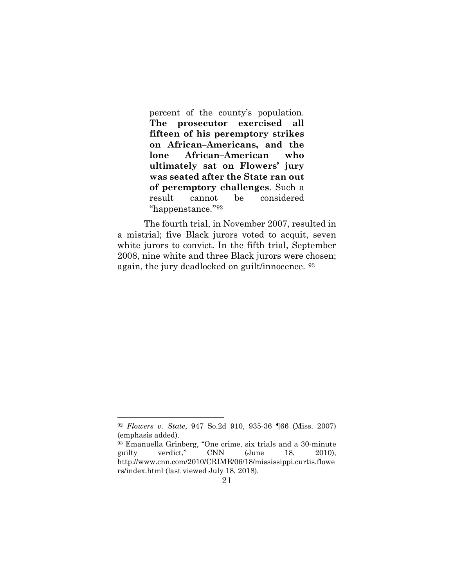percent of the county's population. **The prosecutor exercised all fifteen of his peremptory strikes on African–Americans, and the lone African–American who ultimately sat on Flowers' jury was seated after the State ran out of peremptory challenges**. Such a result cannot be considered ''happenstance.''[92](#page-31-0)

The fourth trial, in November 2007, resulted in a mistrial; five Black jurors voted to acquit, seven white jurors to convict. In the fifth trial, September 2008, nine white and three Black jurors were chosen; again, the jury deadlocked on guilt/innocence. [93](#page-31-1)

<span id="page-31-0"></span> <sup>92</sup> *Flowers v. State*, 947 So.2d 910, 935-36 ¶66 (Miss. 2007) (emphasis added).

<span id="page-31-1"></span><sup>93</sup> Emanuella Grinberg, "One crime, six trials and a 30-minute guilty verdict," CNN (June 18, 2010), http://www.cnn.com/2010/CRIME/06/18/mississippi.curtis.flowe rs/index.html (last viewed July 18, 2018).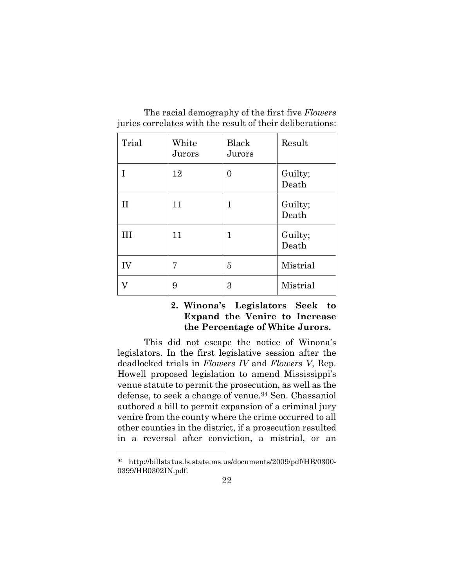| Trial | White<br>Jurors | <b>Black</b><br>Jurors | Result           |
|-------|-----------------|------------------------|------------------|
| T     | 12              | $\overline{0}$         | Guilty;<br>Death |
| H     | 11              | 1                      | Guilty;<br>Death |
| Ш     | 11              | 1                      | Guilty;<br>Death |
| IV    | 7               | 5                      | Mistrial         |
|       | 9               | 3                      | Mistrial         |

The racial demography of the first five *Flowers* juries correlates with the result of their deliberations:

## **2. Winona's Legislators Seek to Expand the Venire to Increase the Percentage of White Jurors.**

This did not escape the notice of Winona's legislators. In the first legislative session after the deadlocked trials in *Flowers IV* and *Flowers V*, Rep. Howell proposed legislation to amend Mississippi's venue statute to permit the prosecution, as well as the defense, to seek a change of venue.[94](#page-32-0) Sen. Chassaniol authored a bill to permit expansion of a criminal jury venire from the county where the crime occurred to all other counties in the district, if a prosecution resulted in a reversal after conviction, a mistrial, or an

<span id="page-32-0"></span> <sup>94</sup> http://billstatus.ls.state.ms.us/documents/2009/pdf/HB/0300- 0399/HB0302IN.pdf.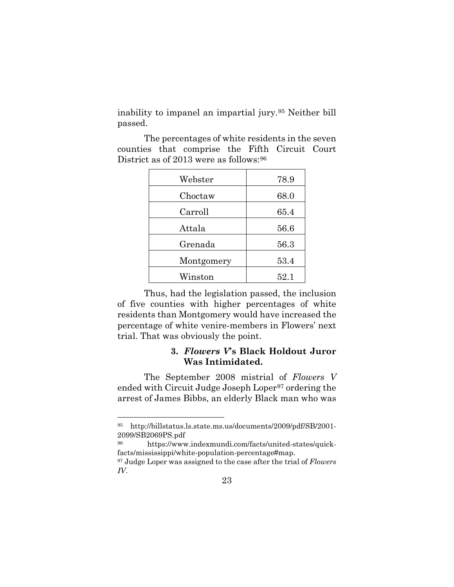inability to impanel an impartial jury.[95](#page-33-0) Neither bill passed.

The percentages of white residents in the seven counties that comprise the Fifth Circuit Court District as of 2013 were as follows: [96](#page-33-1)

| Webster    | 78.9     |
|------------|----------|
| Choctaw    | 68.0     |
| Carroll    | 65.4     |
| Attala     | 56.6     |
| Grenada    | 56.3     |
| Montgomery | ${53.4}$ |
| Winston    | $52.1\,$ |

Thus, had the legislation passed, the inclusion of five counties with higher percentages of white residents than Montgomery would have increased the percentage of white venire-members in Flowers' next trial. That was obviously the point.

## **3.** *Flowers V***'s Black Holdout Juror Was Intimidated.**

The September 2008 mistrial of *Flowers V* ended with Circuit Judge Joseph Loper<sup>[97](#page-33-2)</sup> ordering the arrest of James Bibbs, an elderly Black man who was

<span id="page-33-0"></span> <sup>95</sup> http://billstatus.ls.state.ms.us/documents/2009/pdf/SB/2001- 2099/SB2069PS.pdf 96 https://www.indexmundi.com/facts/united-states/quick-

<span id="page-33-1"></span>facts/mississippi/white-population-percentage#map.

<span id="page-33-2"></span><sup>97</sup> Judge Loper was assigned to the case after the trial of *Flowers IV*.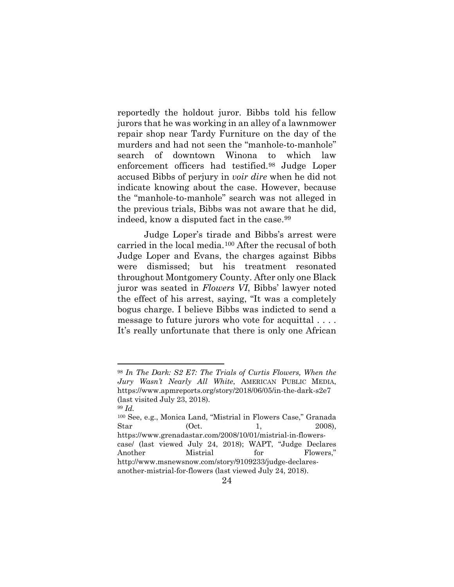reportedly the holdout juror. Bibbs told his fellow jurors that he was working in an alley of a lawnmower repair shop near Tardy Furniture on the day of the murders and had not seen the "manhole-to-manhole" search of downtown Winona to which law enforcement officers had testified.[98](#page-34-0) Judge Loper accused Bibbs of perjury in *voir dire* when he did not indicate knowing about the case. However, because the "manhole-to-manhole" search was not alleged in the previous trials, Bibbs was not aware that he did, indeed, know a disputed fact in the case.[99](#page-34-1)

Judge Loper's tirade and Bibbs's arrest were carried in the local media.[100](#page-34-2) After the recusal of both Judge Loper and Evans, the charges against Bibbs were dismissed; but his treatment resonated throughout Montgomery County. After only one Black juror was seated in *Flowers VI*, Bibbs' lawyer noted the effect of his arrest, saying, "It was a completely bogus charge. I believe Bibbs was indicted to send a message to future jurors who vote for acquittal . . . . It's really unfortunate that there is only one African

<span id="page-34-0"></span> <sup>98</sup> *In The Dark: S2 E7: The Trials of Curtis Flowers, When the Jury Wasn't Nearly All White*, AMERICAN PUBLIC MEDIA, https://www.apmreports.org/story/2018/06/05/in-the-dark-s2e7 (last visited July 23, 2018). <sup>99</sup> *Id.* 

<span id="page-34-2"></span><span id="page-34-1"></span><sup>100</sup> See, e.g., Monica Land, "Mistrial in Flowers Case," Granada Star (Oct. 1, 2008), https://www.grenadastar.com/2008/10/01/mistrial-in-flowerscase/ (last viewed July 24, 2018); WAPT, "Judge Declares Another Mistrial for Flowers," http://www.msnewsnow.com/story/9109233/judge-declaresanother-mistrial-for-flowers (last viewed July 24, 2018).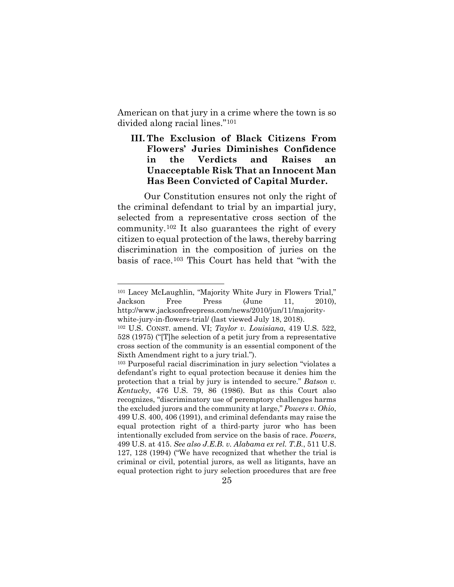American on that jury in a crime where the town is so divided along racial lines."[101](#page-35-0)

## **III. The Exclusion of Black Citizens From Flowers' Juries Diminishes Confidence in the Verdicts and Raises an Unacceptable Risk That an Innocent Man Has Been Convicted of Capital Murder.**

Our Constitution ensures not only the right of the criminal defendant to trial by an impartial jury, selected from a representative cross section of the community.[102](#page-35-1) It also guarantees the right of every citizen to equal protection of the laws, thereby barring discrimination in the composition of juries on the basis of race.[103](#page-35-2) This Court has held that "with the

<span id="page-35-0"></span> <sup>101</sup> Lacey McLaughlin, "Majority White Jury in Flowers Trial," Jackson Free Press (June 11, 2010), http://www.jacksonfreepress.com/news/2010/jun/11/majoritywhite-jury-in-flowers-trial/ (last viewed July 18, 2018).

<span id="page-35-1"></span><sup>102</sup> U.S. CONST. amend. VI; *Taylor v. Louisiana*, 419 U.S. 522, 528 (1975) ("[T]he selection of a petit jury from a representative cross section of the community is an essential component of the Sixth Amendment right to a jury trial.").

<span id="page-35-2"></span><sup>103</sup> Purposeful racial discrimination in jury selection "violates a defendant's right to equal protection because it denies him the protection that a trial by jury is intended to secure." *Batson v. Kentucky*, 476 U.S. 79, 86 (1986). But as this Court also recognizes, "discriminatory use of peremptory challenges harms the excluded jurors and the community at large," *Powers v. Ohio*, 499 U.S. 400, 406 (1991), and criminal defendants may raise the equal protection right of a third-party juror who has been intentionally excluded from service on the basis of race. *Powers*, 499 U.S. at 415. *See also J.E.B. v. Alabama ex rel. T.B.*, 511 U.S. 127, 128 (1994) ("We have recognized that whether the trial is criminal or civil, potential jurors, as well as litigants, have an equal protection right to jury selection procedures that are free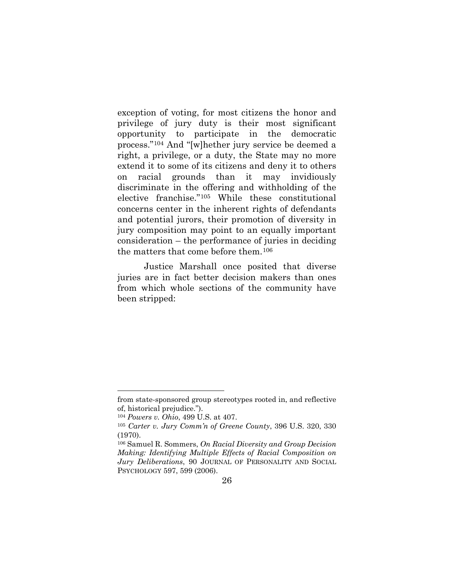exception of voting, for most citizens the honor and privilege of jury duty is their most significant opportunity to participate in the democratic process."[104](#page-36-0) And "[w]hether jury service be deemed a right, a privilege, or a duty, the State may no more extend it to some of its citizens and deny it to others on racial grounds than it may invidiously discriminate in the offering and withholding of the elective franchise."[105](#page-36-1) While these constitutional concerns center in the inherent rights of defendants and potential jurors, their promotion of diversity in jury composition may point to an equally important consideration – the performance of juries in deciding the matters that come before them.[106](#page-36-2)

Justice Marshall once posited that diverse juries are in fact better decision makers than ones from which whole sections of the community have been stripped:

l

from state-sponsored group stereotypes rooted in, and reflective of, historical prejudice.").

<sup>104</sup> *Powers v. Ohio*, 499 U.S. at 407.

<span id="page-36-1"></span><span id="page-36-0"></span><sup>105</sup> *Carter v. Jury Comm'n of Greene County*, 396 U.S. 320, 330 (1970).

<span id="page-36-2"></span><sup>106</sup> Samuel R. Sommers, *On Racial Diversity and Group Decision Making: Identifying Multiple Effects of Racial Composition on Jury Deliberations*, 90 JOURNAL OF PERSONALITY AND SOCIAL PSYCHOLOGY 597, 599 (2006).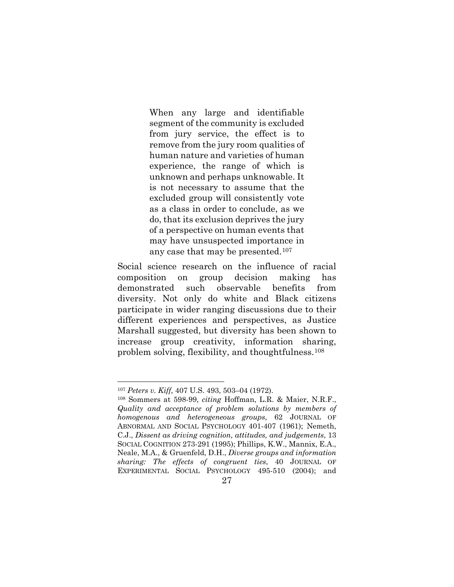When any large and identifiable segment of the community is excluded from jury service, the effect is to remove from the jury room qualities of human nature and varieties of human experience, the range of which is unknown and perhaps unknowable. It is not necessary to assume that the excluded group will consistently vote as a class in order to conclude, as we do, that its exclusion deprives the jury of a perspective on human events that may have unsuspected importance in any case that may be presented.[107](#page-37-0)

Social science research on the influence of racial composition on group decision making has demonstrated such observable benefits from diversity. Not only do white and Black citizens participate in wider ranging discussions due to their different experiences and perspectives, as Justice Marshall suggested, but diversity has been shown to increase group creativity, information sharing, problem solving, flexibility, and thoughtfulness.[108](#page-37-1)

 <sup>107</sup> *Peters v. Kiff,* 407 U.S. 493, 503–04 (1972).

<span id="page-37-1"></span><span id="page-37-0"></span><sup>108</sup> Sommers at 598-99, *citing* Hoffman, L.R. & Maier, N.R.F., *Quality and acceptance of problem solutions by members of homogenous and heterogeneous groups*, 62 JOURNAL OF ABNORMAL AND SOCIAL PSYCHOLOGY 401-407 (1961); Nemeth, C.J., *Dissent as driving cognition, attitudes, and judgements*, 13 SOCIAL COGNITION 273-291 (1995); Phillips, K.W., Mannix, E.A., Neale, M.A., & Gruenfeld, D.H., *Diverse groups and information sharing: The effects of congruent ties*, 40 JOURNAL OF EXPERIMENTAL SOCIAL PSYCHOLOGY 495-510 (2004); and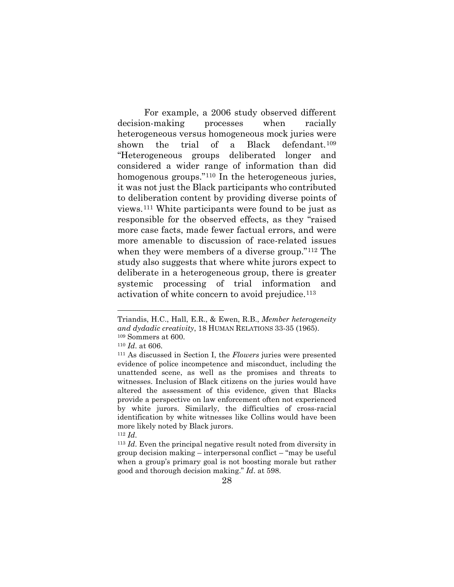For example, a 2006 study observed different decision-making processes when racially heterogeneous versus homogeneous mock juries were shown the trial of a Black defendant.[109](#page-38-0) "Heterogeneous groups deliberated longer and considered a wider range of information than did homogenous groups."<sup>[110](#page-38-1)</sup> In the heterogeneous juries, it was not just the Black participants who contributed to deliberation content by providing diverse points of views.[111](#page-38-2) White participants were found to be just as responsible for the observed effects, as they "raised more case facts, made fewer factual errors, and were more amenable to discussion of race-related issues when they were members of a diverse group."[112](#page-38-3) The study also suggests that where white jurors expect to deliberate in a heterogeneous group, there is greater systemic processing of trial information and activation of white concern to avoid prejudice.<sup>[113](#page-38-4)</sup>

 $\overline{a}$ 

Triandis, H.C., Hall, E.R., & Ewen, R.B., *Member heterogeneity and dydadic creativity*, 18 HUMAN RELATIONS 33-35 (1965). <sup>109</sup> Sommers at 600.

<span id="page-38-1"></span><span id="page-38-0"></span><sup>110</sup> *Id*. at 606.

<span id="page-38-2"></span><sup>111</sup> As discussed in Section I, the *Flowers* juries were presented evidence of police incompetence and misconduct, including the unattended scene, as well as the promises and threats to witnesses. Inclusion of Black citizens on the juries would have altered the assessment of this evidence, given that Blacks provide a perspective on law enforcement often not experienced by white jurors. Similarly, the difficulties of cross-racial identification by white witnesses like Collins would have been more likely noted by Black jurors.

<span id="page-38-4"></span><span id="page-38-3"></span><sup>112</sup> *Id*.

<sup>113</sup> *Id*. Even the principal negative result noted from diversity in group decision making – interpersonal conflict – "may be useful when a group's primary goal is not boosting morale but rather good and thorough decision making." *Id*. at 598.